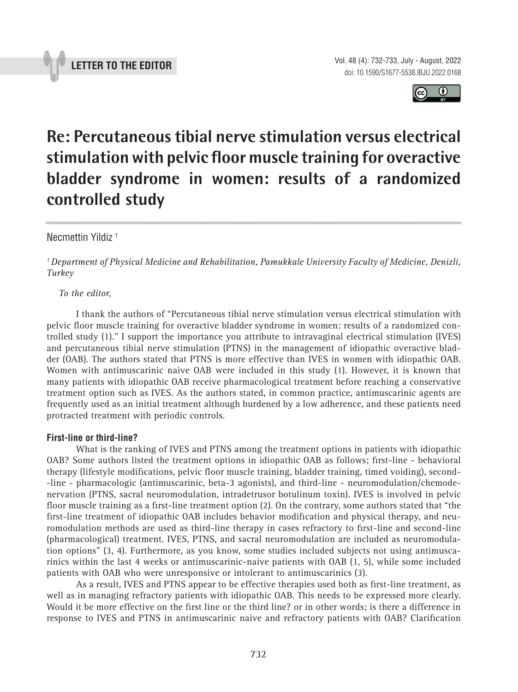



# **Re: Percutaneous tibial nerve stimulation versus electrical stimulation with pelvic floor muscle training for overactive bladder syndrome in women: results of a randomized controlled study \_\_\_\_\_\_\_\_\_\_\_\_\_\_\_\_\_\_\_\_\_\_\_\_\_\_\_\_\_\_\_\_\_\_\_\_\_\_\_\_\_\_\_\_\_\_\_**

## Necmettin Yildiz 1

*1 Department of Physical Medicine and Rehabilitation, Pamukkale University Faculty of Medicine, Denizli, Turkey*

#### *To the editor,*

I thank the authors of "Percutaneous tibial nerve stimulation versus electrical stimulation with pelvic floor muscle training for overactive bladder syndrome in women: results of a randomized controlled study (1)." I support the importance you attribute to intravaginal electrical stimulation (IVES) and percutaneous tibial nerve stimulation (PTNS) in the management of idiopathic overactive bladder (OAB). The authors stated that PTNS is more effective than IVES in women with idiopathic OAB. Women with antimuscarinic naive OAB were included in this study (1). However, it is known that many patients with idiopathic OAB receive pharmacological treatment before reaching a conservative treatment option such as IVES. As the authors stated, in common practice, antimuscarinic agents are frequently used as an initial treatment although burdened by a low adherence, and these patients need protracted treatment with periodic controls.

### **First-line or third-line?**

What is the ranking of IVES and PTNS among the treatment options in patients with idiopathic OAB? Some authors listed the treatment options in idiopathic OAB as follows; first-line - behavioral therapy (lifestyle modifications, pelvic floor muscle training, bladder training, timed voiding), second- -line - pharmacologic (antimuscarinic, beta-3 agonists), and third-line - neuromodulation/chemodenervation (PTNS, sacral neuromodulation, intradetrusor botulinum toxin). IVES is involved in pelvic floor muscle training as a first-line treatment option (2). On the contrary, some authors stated that "the first-line treatment of idiopathic OAB includes behavior modification and physical therapy, and neuromodulation methods are used as third-line therapy in cases refractory to first-line and second-line (pharmacological) treatment. IVES, PTNS, and sacral neuromodulation are included as neuromodulation options" (3, 4). Furthermore, as you know, some studies included subjects not using antimuscarinics within the last 4 weeks or antimuscarinic-naive patients with OAB (1, 5), while some included patients with OAB who were unresponsive or intolerant to antimuscarinics (3).

As a result, IVES and PTNS appear to be effective therapies used both as first-line treatment, as well as in managing refractory patients with idiopathic OAB. This needs to be expressed more clearly. Would it be more effective on the first line or the third line? or in other words; is there a difference in response to IVES and PTNS in antimuscarinic naive and refractory patients with OAB? Clarification